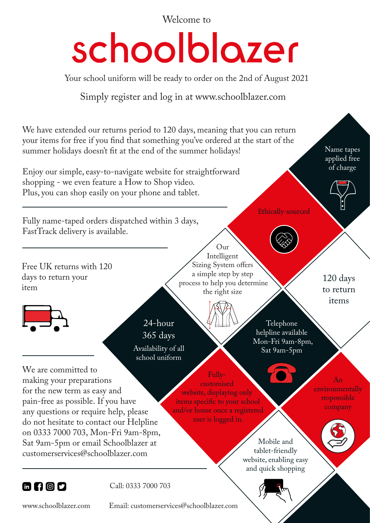Welcome to

## schoolblozer

Your school uniform will be ready to order on the 2nd of August 2021

Simply register and log in at www.schoolblazer.com

We have extended our returns period to 120 days, meaning that you can return your items for free if you find that something you've ordered at the start of the summer holidays doesn't fit at the end of the summer holidays!

Enjoy our simple, easy-to-navigate website for straightforward shopping - we even feature a How to Shop video. Plus, you can shop easily on your phone and tablet.

Fully name-taped orders dispatched within 3 days, FastTrack delivery is available.

Free UK returns with 120 days to return your item



 $24$ -hour 365 days Availability of all school uniform

We are committed to making your preparations for the new term as easy and pain-free as possible. If you have any questions or require help, please do not hesitate to contact our Helpline on 0333 7000 703, Mon-Fri 9am-8pm, Sat 9am-5pm or email Schoolblazer at customerservices@schoolblazer.com

Our Intelligent Sizing System offers a simple step by step process to help you determine the right size

> Telephone helpline available Mon-Fri 9am-8pm, Sat 9am-5pm

Ethically-sourced

Fullycustomised website, displaying only items specific to your school and/or house once a registered user is logged in.

> Mobile and tablet-friendly website, enabling easy and quick shopping

An environmentally responsible company

120 days to return items

Name tapes applied free of charge



Call: 0333 7000 703

www.schoolblazer.com Email: customerservices@schoolblazer.com